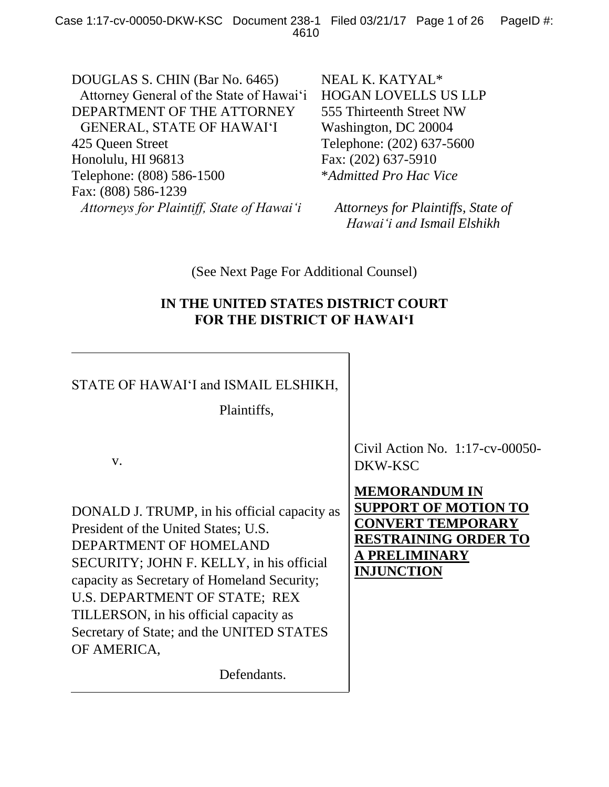DOUGLAS S. CHIN (Bar No. 6465) Attorney General of the State of Hawai'i DEPARTMENT OF THE ATTORNEY GENERAL, STATE OF HAWAI'I 425 Queen Street Honolulu, HI 96813 Telephone: (808) 586-1500 Fax: (808) 586-1239 *Attorneys for Plaintiff, State of Hawai'i*

NEAL K. KATYAL\* HOGAN LOVELLS US LLP 555 Thirteenth Street NW Washington, DC 20004 Telephone: (202) 637-5600 Fax: (202) 637-5910 \**Admitted Pro Hac Vice*

*Attorneys for Plaintiffs, State of Hawai'i and Ismail Elshikh*

(See Next Page For Additional Counsel)

## **IN THE UNITED STATES DISTRICT COURT FOR THE DISTRICT OF HAWAI'I**

## STATE OF HAWAI'I and ISMAIL ELSHIKH,

Plaintiffs,

v.

DONALD J. TRUMP, in his official capacity as President of the United States; U.S. DEPARTMENT OF HOMELAND SECURITY; JOHN F. KELLY, in his official capacity as Secretary of Homeland Security; U.S. DEPARTMENT OF STATE; REX TILLERSON, in his official capacity as Secretary of State; and the UNITED STATES OF AMERICA,

Defendants.

Civil Action No. 1:17-cv-00050- DKW-KSC

**MEMORANDUM IN SUPPORT OF MOTION TO CONVERT TEMPORARY RESTRAINING ORDER TO A PRELIMINARY INJUNCTION**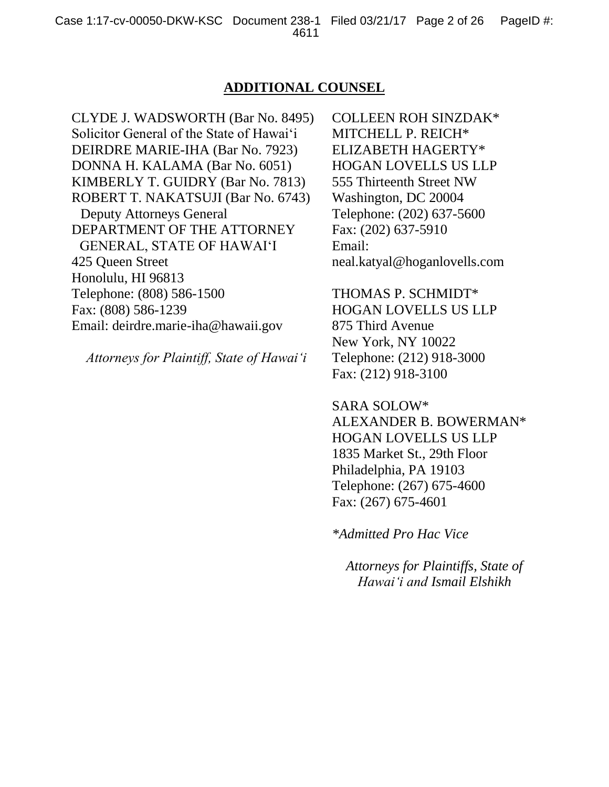### **ADDITIONAL COUNSEL**

CLYDE J. WADSWORTH (Bar No. 8495) Solicitor General of the State of Hawai'i DEIRDRE MARIE-IHA (Bar No. 7923) DONNA H. KALAMA (Bar No. 6051) KIMBERLY T. GUIDRY (Bar No. 7813) ROBERT T. NAKATSUJI (Bar No. 6743) Deputy Attorneys General DEPARTMENT OF THE ATTORNEY GENERAL, STATE OF HAWAI'I 425 Queen Street Honolulu, HI 96813 Telephone: (808) 586-1500 Fax: (808) 586-1239 Email: deirdre.marie-iha@hawaii.gov

*Attorneys for Plaintiff, State of Hawai'i*

COLLEEN ROH SINZDAK\* MITCHELL P. REICH\* ELIZABETH HAGERTY\* HOGAN LOVELLS US LLP 555 Thirteenth Street NW Washington, DC 20004 Telephone: (202) 637-5600 Fax: (202) 637-5910 Email: neal.katyal@hoganlovells.com

THOMAS P. SCHMIDT\* HOGAN LOVELLS US LLP 875 Third Avenue New York, NY 10022 Telephone: (212) 918-3000 Fax: (212) 918-3100

SARA SOLOW\* ALEXANDER B. BOWERMAN\* HOGAN LOVELLS US LLP 1835 Market St., 29th Floor Philadelphia, PA 19103 Telephone: (267) 675-4600 Fax: (267) 675-4601

*\*Admitted Pro Hac Vice*

*Attorneys for Plaintiffs, State of Hawai'i and Ismail Elshikh*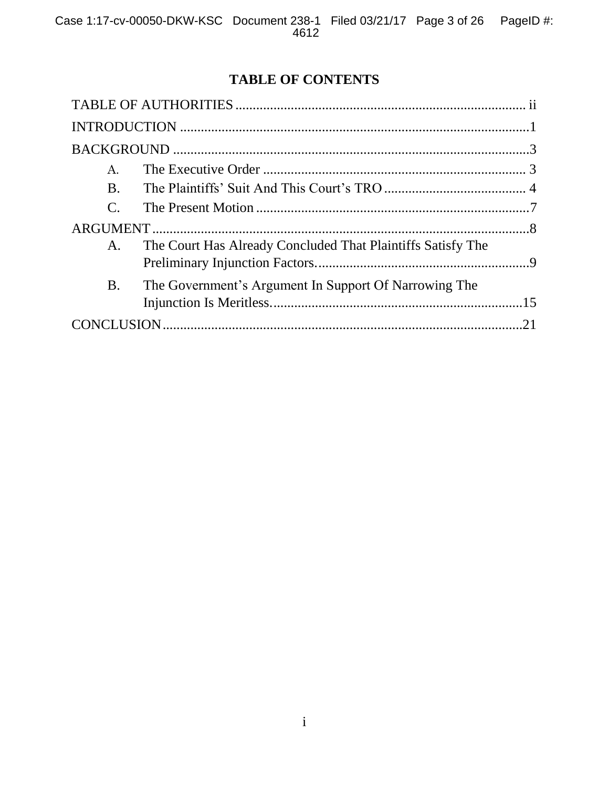# **TABLE OF CONTENTS**

| $\mathbf{A}$ .        |                                                             |  |
|-----------------------|-------------------------------------------------------------|--|
| <b>B.</b>             |                                                             |  |
| $\mathcal{C}_{\cdot}$ |                                                             |  |
|                       |                                                             |  |
| A.                    | The Court Has Already Concluded That Plaintiffs Satisfy The |  |
| <b>B.</b>             | The Government's Argument In Support Of Narrowing The       |  |
|                       |                                                             |  |
|                       |                                                             |  |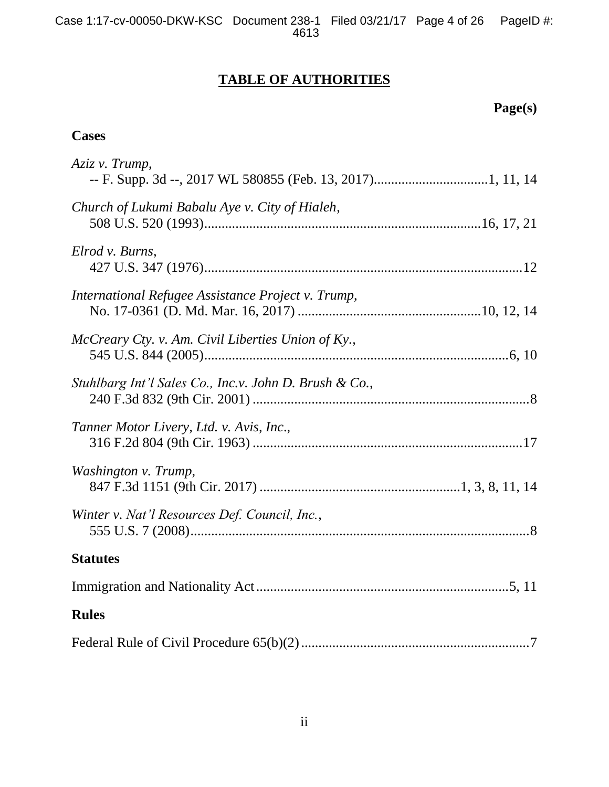# **TABLE OF AUTHORITIES**

# **Page(s)**

## **Cases**

| Aziz v. Trump,                                         |
|--------------------------------------------------------|
| Church of Lukumi Babalu Aye v. City of Hialeh,         |
| Elrod v. Burns,                                        |
| International Refugee Assistance Project v. Trump,     |
| McCreary Cty. v. Am. Civil Liberties Union of Ky.,     |
| Stuhlbarg Int'l Sales Co., Inc.v. John D. Brush & Co., |
| Tanner Motor Livery, Ltd. v. Avis, Inc.,               |
| Washington v. Trump,                                   |
| Winter v. Nat'l Resources Def. Council, Inc.,          |
| <b>Statutes</b>                                        |
|                                                        |
| <b>Rules</b>                                           |
|                                                        |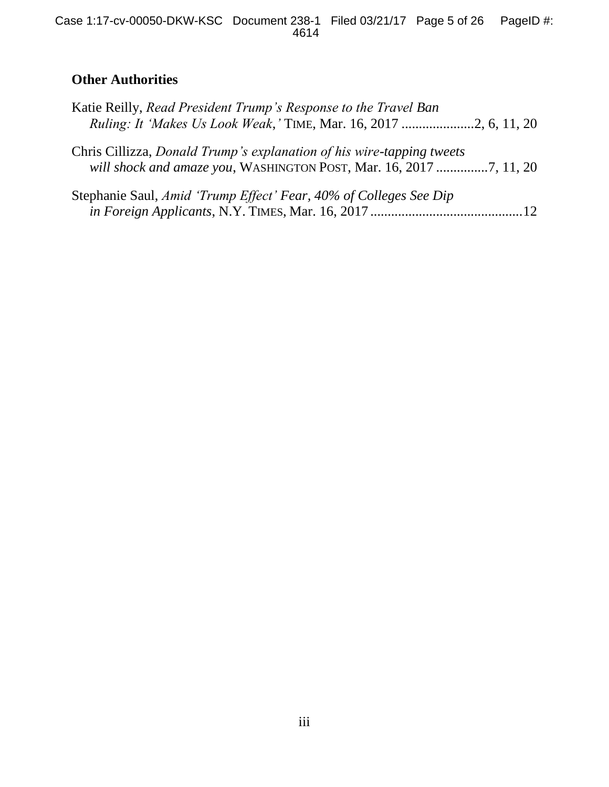# **Other Authorities**

| Katie Reilly, Read President Trump's Response to the Travel Ban                                                                             |  |
|---------------------------------------------------------------------------------------------------------------------------------------------|--|
| Chris Cillizza, Donald Trump's explanation of his wire-tapping tweets<br>will shock and amaze you, WASHINGTON POST, Mar. 16, 2017 7, 11, 20 |  |
| Stephanie Saul, Amid 'Trump Effect' Fear, 40% of Colleges See Dip                                                                           |  |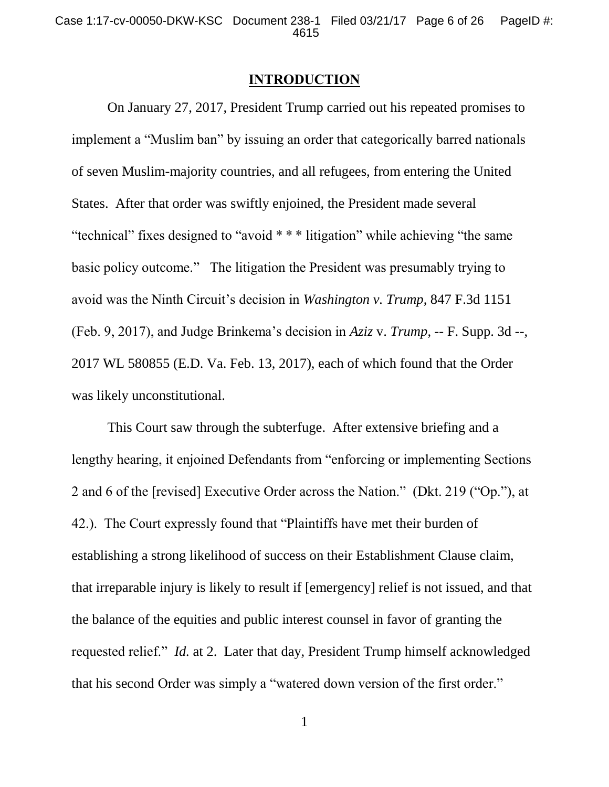#### **INTRODUCTION**

On January 27, 2017, President Trump carried out his repeated promises to implement a "Muslim ban" by issuing an order that categorically barred nationals of seven Muslim-majority countries, and all refugees, from entering the United States. After that order was swiftly enjoined, the President made several "technical" fixes designed to "avoid \* \* \* litigation" while achieving "the same basic policy outcome." The litigation the President was presumably trying to avoid was the Ninth Circuit's decision in *Washington v. Trump*, 847 F.3d 1151 (Feb. 9, 2017), and Judge Brinkema's decision in *Aziz* v. *Trump*, -- F. Supp. 3d --, 2017 WL 580855 (E.D. Va. Feb. 13, 2017), each of which found that the Order was likely unconstitutional.

This Court saw through the subterfuge. After extensive briefing and a lengthy hearing, it enjoined Defendants from "enforcing or implementing Sections 2 and 6 of the [revised] Executive Order across the Nation." (Dkt. 219 ("Op."), at 42.). The Court expressly found that "Plaintiffs have met their burden of establishing a strong likelihood of success on their Establishment Clause claim, that irreparable injury is likely to result if [emergency] relief is not issued, and that the balance of the equities and public interest counsel in favor of granting the requested relief." *Id.* at 2. Later that day, President Trump himself acknowledged that his second Order was simply a "watered down version of the first order."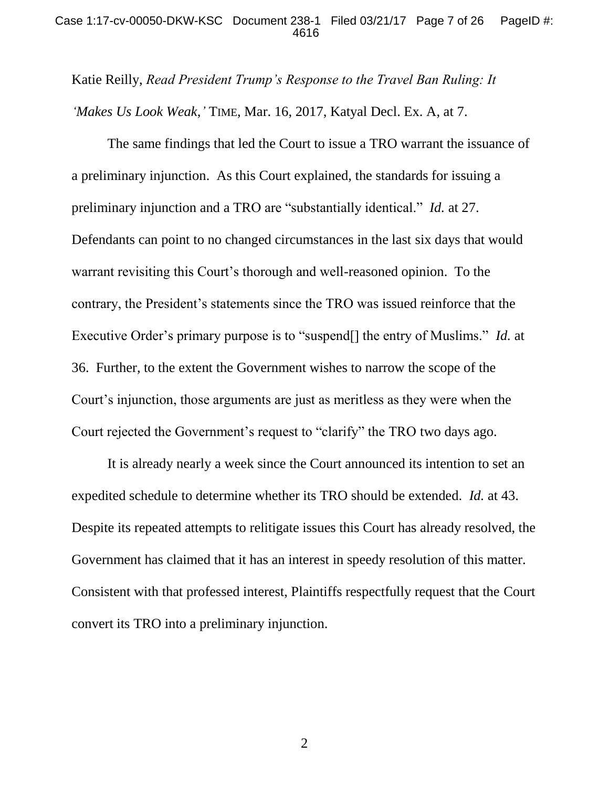#### Case 1:17-cv-00050-DKW-KSC Document 238-1 Filed 03/21/17 Page 7 of 26 PageID #: 4616

Katie Reilly, *Read President Trump's Response to the Travel Ban Ruling: It 'Makes Us Look Weak*,*'* TIME, Mar. 16, 2017, Katyal Decl. Ex. A, at 7.

The same findings that led the Court to issue a TRO warrant the issuance of a preliminary injunction. As this Court explained, the standards for issuing a preliminary injunction and a TRO are "substantially identical." *Id.* at 27. Defendants can point to no changed circumstances in the last six days that would warrant revisiting this Court's thorough and well-reasoned opinion. To the contrary, the President's statements since the TRO was issued reinforce that the Executive Order's primary purpose is to "suspend[] the entry of Muslims." *Id.* at 36. Further, to the extent the Government wishes to narrow the scope of the Court's injunction, those arguments are just as meritless as they were when the Court rejected the Government's request to "clarify" the TRO two days ago.

It is already nearly a week since the Court announced its intention to set an expedited schedule to determine whether its TRO should be extended. *Id.* at 43. Despite its repeated attempts to relitigate issues this Court has already resolved, the Government has claimed that it has an interest in speedy resolution of this matter. Consistent with that professed interest, Plaintiffs respectfully request that the Court convert its TRO into a preliminary injunction.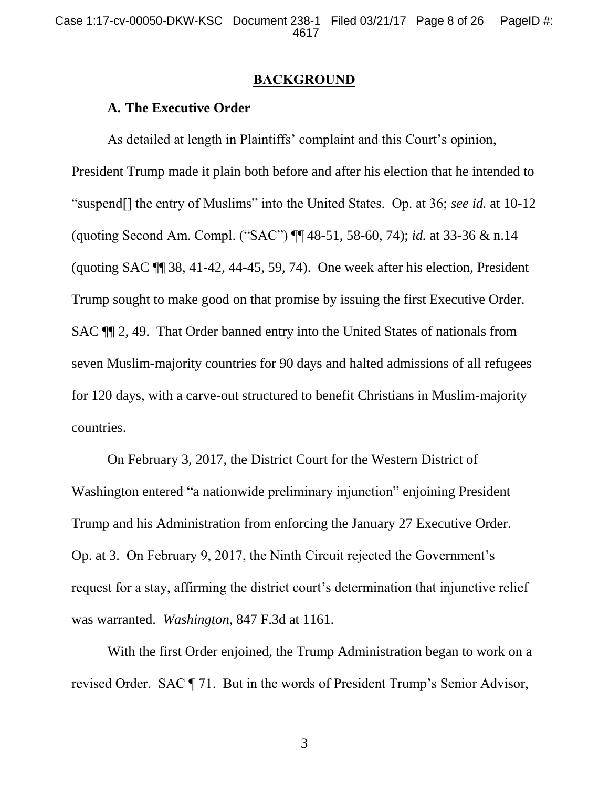#### **BACKGROUND**

## **A. The Executive Order**

As detailed at length in Plaintiffs' complaint and this Court's opinion, President Trump made it plain both before and after his election that he intended to "suspend[] the entry of Muslims" into the United States. Op. at 36; *see id.* at 10-12 (quoting Second Am. Compl. ("SAC") ¶¶ 48-51, 58-60, 74); *id.* at 33-36 & n.14 (quoting SAC ¶¶ 38, 41-42, 44-45, 59, 74). One week after his election, President Trump sought to make good on that promise by issuing the first Executive Order. SAC ¶¶ 2, 49. That Order banned entry into the United States of nationals from seven Muslim-majority countries for 90 days and halted admissions of all refugees for 120 days, with a carve-out structured to benefit Christians in Muslim-majority countries.

On February 3, 2017, the District Court for the Western District of Washington entered "a nationwide preliminary injunction" enjoining President Trump and his Administration from enforcing the January 27 Executive Order. Op. at 3. On February 9, 2017, the Ninth Circuit rejected the Government's request for a stay, affirming the district court's determination that injunctive relief was warranted. *Washington*, 847 F.3d at 1161.

With the first Order enjoined, the Trump Administration began to work on a revised Order. SAC ¶ 71. But in the words of President Trump's Senior Advisor,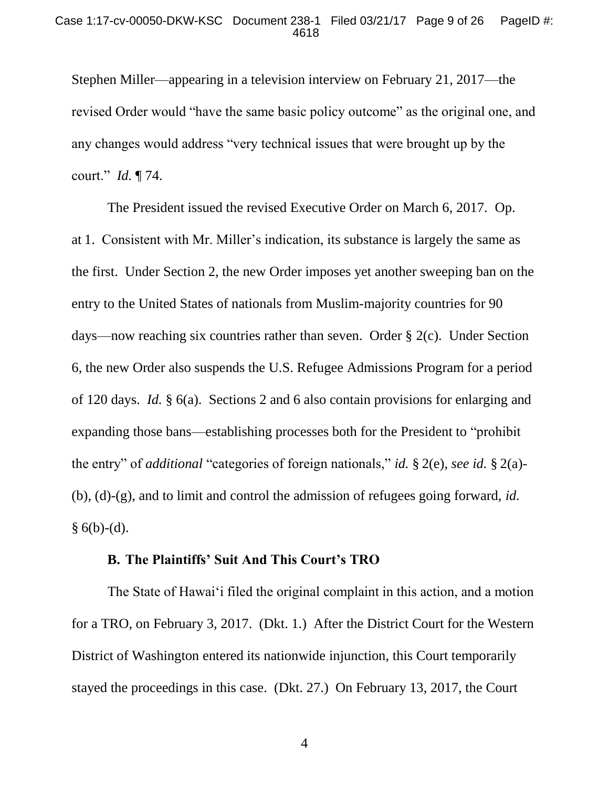Stephen Miller—appearing in a television interview on February 21, 2017—the revised Order would "have the same basic policy outcome" as the original one, and any changes would address "very technical issues that were brought up by the court." *Id.* ¶ 74.

The President issued the revised Executive Order on March 6, 2017. Op. at 1. Consistent with Mr. Miller's indication, its substance is largely the same as the first. Under Section 2, the new Order imposes yet another sweeping ban on the entry to the United States of nationals from Muslim-majority countries for 90 days—now reaching six countries rather than seven. Order § 2(c). Under Section 6, the new Order also suspends the U.S. Refugee Admissions Program for a period of 120 days. *Id.* § 6(a). Sections 2 and 6 also contain provisions for enlarging and expanding those bans—establishing processes both for the President to "prohibit the entry" of *additional* "categories of foreign nationals," *id.* § 2(e), *see id.* § 2(a)- (b), (d)-(g), and to limit and control the admission of refugees going forward, *id.*   $§ 6(b)-(d).$ 

### **B. The Plaintiffs' Suit And This Court's TRO**

The State of Hawai'i filed the original complaint in this action, and a motion for a TRO, on February 3, 2017. (Dkt. 1.) After the District Court for the Western District of Washington entered its nationwide injunction, this Court temporarily stayed the proceedings in this case. (Dkt. 27.) On February 13, 2017, the Court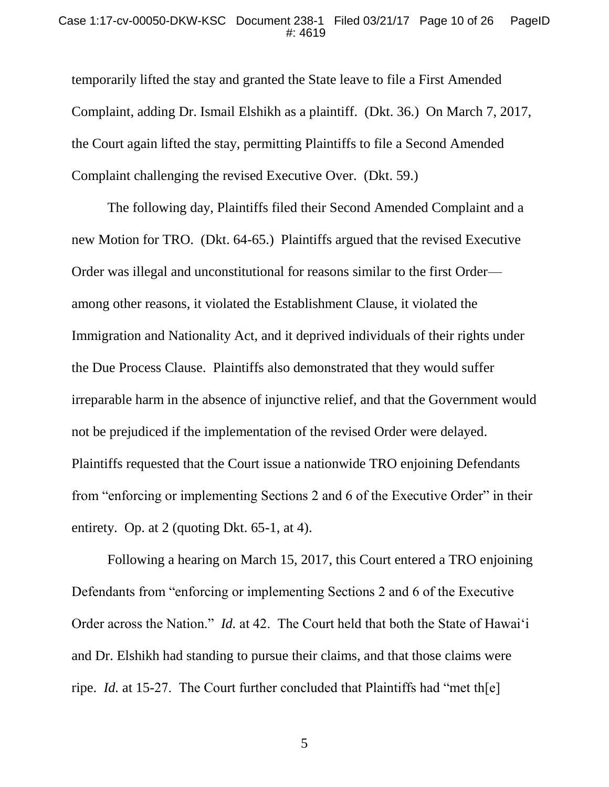temporarily lifted the stay and granted the State leave to file a First Amended Complaint, adding Dr. Ismail Elshikh as a plaintiff. (Dkt. 36.) On March 7, 2017, the Court again lifted the stay, permitting Plaintiffs to file a Second Amended Complaint challenging the revised Executive Over. (Dkt. 59.)

The following day, Plaintiffs filed their Second Amended Complaint and a new Motion for TRO. (Dkt. 64-65.) Plaintiffs argued that the revised Executive Order was illegal and unconstitutional for reasons similar to the first Order among other reasons, it violated the Establishment Clause, it violated the Immigration and Nationality Act, and it deprived individuals of their rights under the Due Process Clause. Plaintiffs also demonstrated that they would suffer irreparable harm in the absence of injunctive relief, and that the Government would not be prejudiced if the implementation of the revised Order were delayed. Plaintiffs requested that the Court issue a nationwide TRO enjoining Defendants from "enforcing or implementing Sections 2 and 6 of the Executive Order" in their entirety. Op. at 2 (quoting Dkt. 65-1, at 4).

Following a hearing on March 15, 2017, this Court entered a TRO enjoining Defendants from "enforcing or implementing Sections 2 and 6 of the Executive Order across the Nation." *Id.* at 42. The Court held that both the State of Hawai'i and Dr. Elshikh had standing to pursue their claims, and that those claims were ripe. *Id.* at 15-27. The Court further concluded that Plaintiffs had "met the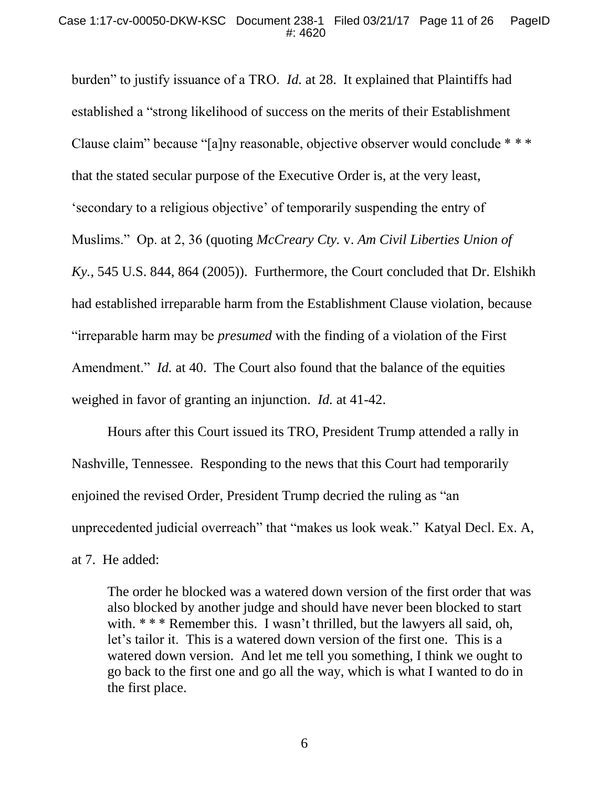burden" to justify issuance of a TRO. *Id.* at 28.It explained that Plaintiffs had established a "strong likelihood of success on the merits of their Establishment Clause claim" because "[a]ny reasonable, objective observer would conclude \* \* \* that the stated secular purpose of the Executive Order is, at the very least, 'secondary to a religious objective' of temporarily suspending the entry of Muslims." Op. at 2, 36 (quoting *McCreary Cty.* v. *Am Civil Liberties Union of Ky.*, 545 U.S. 844, 864 (2005)). Furthermore, the Court concluded that Dr. Elshikh had established irreparable harm from the Establishment Clause violation, because "irreparable harm may be *presumed* with the finding of a violation of the First Amendment." *Id.* at 40. The Court also found that the balance of the equities weighed in favor of granting an injunction. *Id.* at 41-42.

Hours after this Court issued its TRO, President Trump attended a rally in Nashville, Tennessee. Responding to the news that this Court had temporarily enjoined the revised Order, President Trump decried the ruling as "an unprecedented judicial overreach" that "makes us look weak." Katyal Decl. Ex. A, at 7. He added:

The order he blocked was a watered down version of the first order that was also blocked by another judge and should have never been blocked to start with. \* \* \* Remember this. I wasn't thrilled, but the lawyers all said, oh, let's tailor it. This is a watered down version of the first one. This is a watered down version. And let me tell you something, I think we ought to go back to the first one and go all the way, which is what I wanted to do in the first place.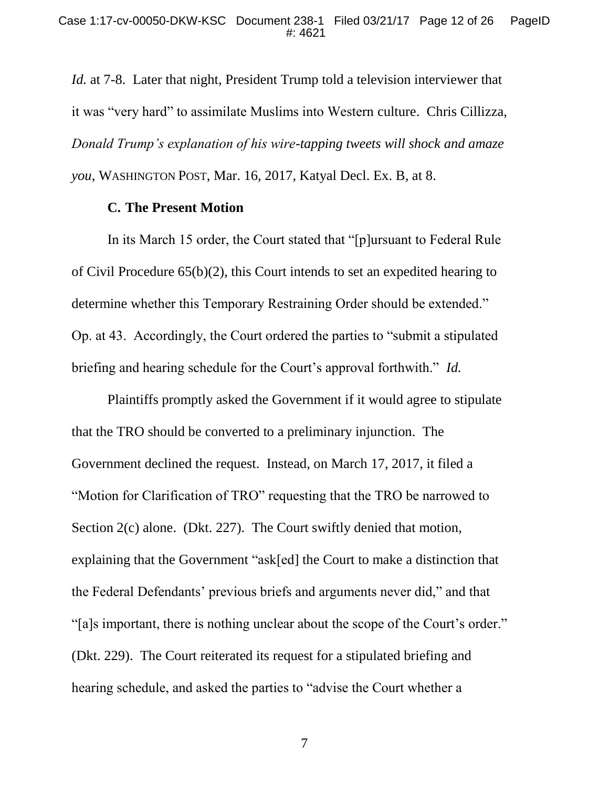*Id.* at 7-8.Later that night, President Trump told a television interviewer that it was "very hard" to assimilate Muslims into Western culture. Chris Cillizza, *Donald Trump's explanation of his wire-tapping tweets will shock and amaze you*, WASHINGTON POST, Mar. 16, 2017, Katyal Decl. Ex. B, at 8.

#### **C. The Present Motion**

In its March 15 order, the Court stated that "[p]ursuant to Federal Rule of Civil Procedure 65(b)(2), this Court intends to set an expedited hearing to determine whether this Temporary Restraining Order should be extended." Op. at 43. Accordingly, the Court ordered the parties to "submit a stipulated briefing and hearing schedule for the Court's approval forthwith." *Id.*

Plaintiffs promptly asked the Government if it would agree to stipulate that the TRO should be converted to a preliminary injunction. The Government declined the request. Instead, on March 17, 2017, it filed a "Motion for Clarification of TRO" requesting that the TRO be narrowed to Section 2(c) alone. (Dkt. 227). The Court swiftly denied that motion, explaining that the Government "ask[ed] the Court to make a distinction that the Federal Defendants' previous briefs and arguments never did," and that "[a]s important, there is nothing unclear about the scope of the Court's order." (Dkt. 229). The Court reiterated its request for a stipulated briefing and hearing schedule, and asked the parties to "advise the Court whether a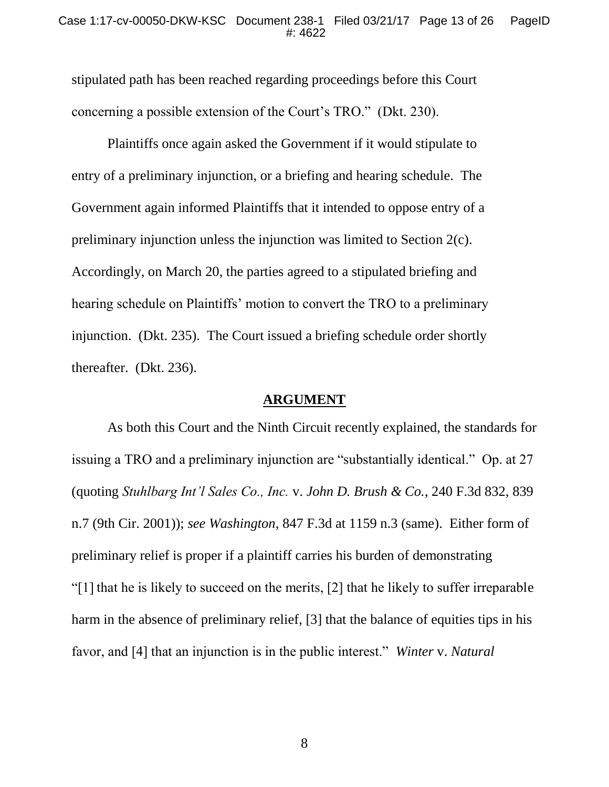stipulated path has been reached regarding proceedings before this Court concerning a possible extension of the Court's TRO." (Dkt. 230).

Plaintiffs once again asked the Government if it would stipulate to entry of a preliminary injunction, or a briefing and hearing schedule. The Government again informed Plaintiffs that it intended to oppose entry of a preliminary injunction unless the injunction was limited to Section 2(c). Accordingly, on March 20, the parties agreed to a stipulated briefing and hearing schedule on Plaintiffs' motion to convert the TRO to a preliminary injunction. (Dkt. 235). The Court issued a briefing schedule order shortly thereafter. (Dkt. 236).

### **ARGUMENT**

As both this Court and the Ninth Circuit recently explained, the standards for issuing a TRO and a preliminary injunction are "substantially identical." Op. at 27 (quoting *Stuhlbarg Int'l Sales Co., Inc.* v. *John D. Brush & Co.*, 240 F.3d 832, 839 n.7 (9th Cir. 2001)); *see Washington*, 847 F.3d at 1159 n.3 (same). Either form of preliminary relief is proper if a plaintiff carries his burden of demonstrating "[1] that he is likely to succeed on the merits, [2] that he likely to suffer irreparable harm in the absence of preliminary relief, [3] that the balance of equities tips in his favor, and [4] that an injunction is in the public interest." *Winter* v. *Natural*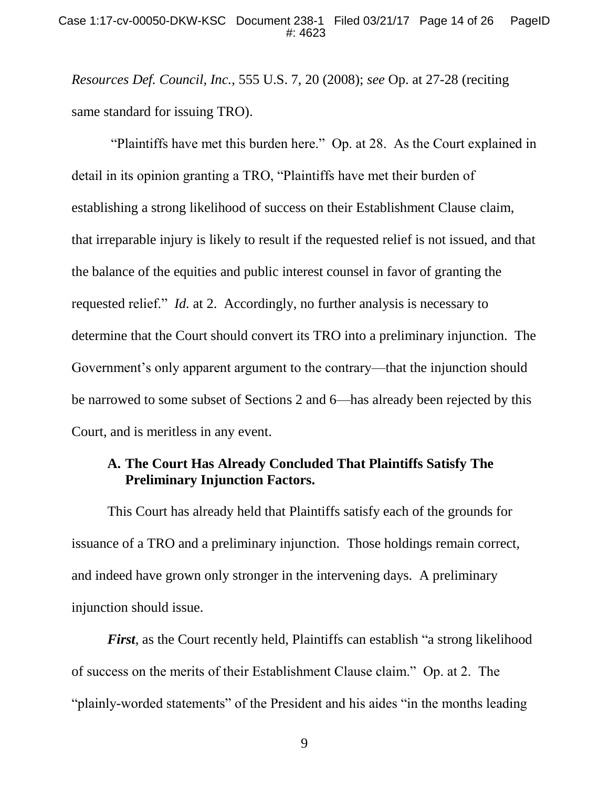*Resources Def. Council, Inc.*, 555 U.S. 7, 20 (2008); *see* Op. at 27-28 (reciting same standard for issuing TRO).

"Plaintiffs have met this burden here." Op. at 28. As the Court explained in detail in its opinion granting a TRO, "Plaintiffs have met their burden of establishing a strong likelihood of success on their Establishment Clause claim, that irreparable injury is likely to result if the requested relief is not issued, and that the balance of the equities and public interest counsel in favor of granting the requested relief." *Id.* at 2. Accordingly, no further analysis is necessary to determine that the Court should convert its TRO into a preliminary injunction. The Government's only apparent argument to the contrary—that the injunction should be narrowed to some subset of Sections 2 and 6—has already been rejected by this Court, and is meritless in any event.

## **A. The Court Has Already Concluded That Plaintiffs Satisfy The Preliminary Injunction Factors.**

This Court has already held that Plaintiffs satisfy each of the grounds for issuance of a TRO and a preliminary injunction. Those holdings remain correct, and indeed have grown only stronger in the intervening days. A preliminary injunction should issue.

*First*, as the Court recently held, Plaintiffs can establish "a strong likelihood of success on the merits of their Establishment Clause claim." Op. at 2. The "plainly-worded statements" of the President and his aides "in the months leading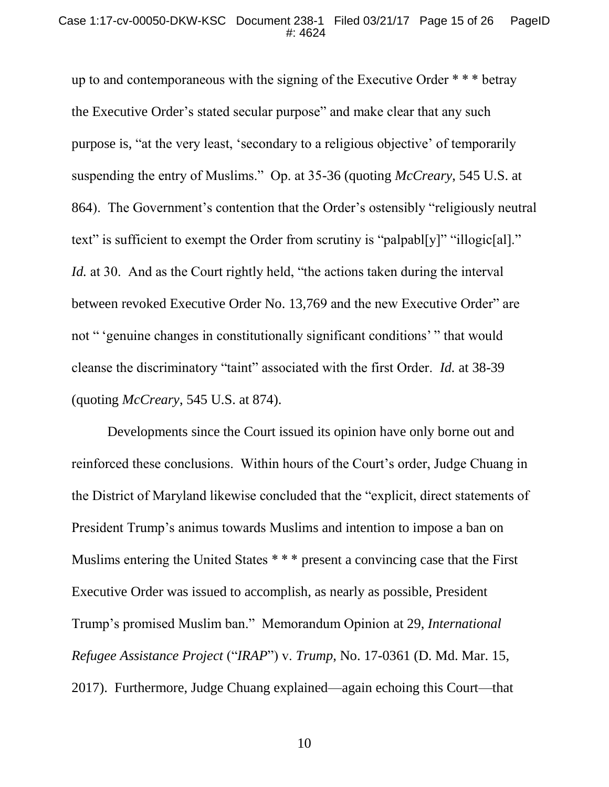up to and contemporaneous with the signing of the Executive Order \* \* \* betray the Executive Order's stated secular purpose" and make clear that any such purpose is, "at the very least, 'secondary to a religious objective' of temporarily suspending the entry of Muslims." Op. at 35-36 (quoting *McCreary*, 545 U.S. at 864). The Government's contention that the Order's ostensibly "religiously neutral text" is sufficient to exempt the Order from scrutiny is "palpabl[y]" "illogic[al]." *Id.* at 30. And as the Court rightly held, "the actions taken during the interval between revoked Executive Order No. 13,769 and the new Executive Order" are not "<sup>'</sup>genuine changes in constitutionally significant conditions'<sup>"</sup> that would cleanse the discriminatory "taint" associated with the first Order. *Id.* at 38-39 (quoting *McCreary*, 545 U.S. at 874).

Developments since the Court issued its opinion have only borne out and reinforced these conclusions. Within hours of the Court's order, Judge Chuang in the District of Maryland likewise concluded that the "explicit, direct statements of President Trump's animus towards Muslims and intention to impose a ban on Muslims entering the United States \* \* \* present a convincing case that the First Executive Order was issued to accomplish, as nearly as possible, President Trump's promised Muslim ban." Memorandum Opinion at 29, *International Refugee Assistance Project* ("*IRAP*") v. *Trump*, No. 17-0361 (D. Md. Mar. 15, 2017). Furthermore, Judge Chuang explained—again echoing this Court—that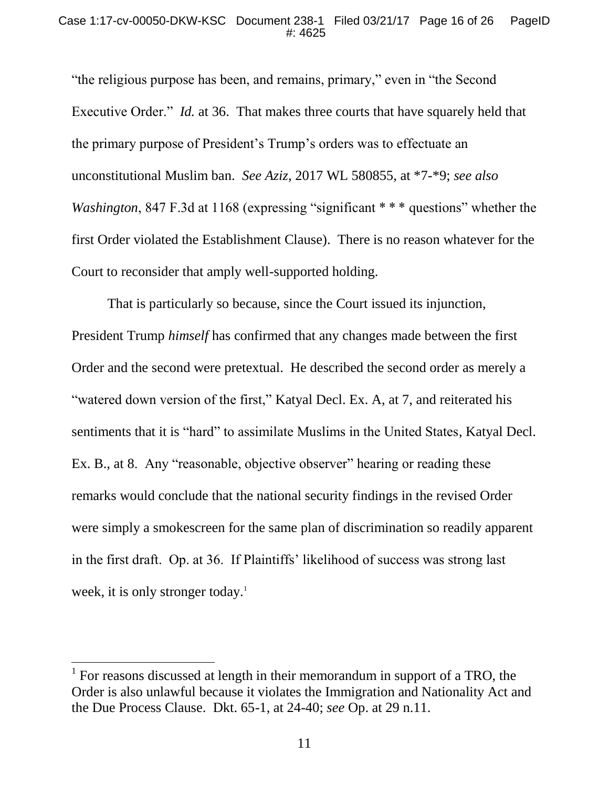"the religious purpose has been, and remains, primary," even in "the Second Executive Order." *Id.* at 36. That makes three courts that have squarely held that the primary purpose of President's Trump's orders was to effectuate an unconstitutional Muslim ban. *See Aziz*, 2017 WL 580855, at \*7-\*9; *see also Washington*, 847 F.3d at 1168 (expressing "significant \*\*\* questions" whether the first Order violated the Establishment Clause). There is no reason whatever for the Court to reconsider that amply well-supported holding.

That is particularly so because, since the Court issued its injunction, President Trump *himself* has confirmed that any changes made between the first Order and the second were pretextual. He described the second order as merely a "watered down version of the first," Katyal Decl. Ex. A, at 7, and reiterated his sentiments that it is "hard" to assimilate Muslims in the United States, Katyal Decl. Ex. B., at 8. Any "reasonable, objective observer" hearing or reading these remarks would conclude that the national security findings in the revised Order were simply a smokescreen for the same plan of discrimination so readily apparent in the first draft. Op. at 36. If Plaintiffs' likelihood of success was strong last week, it is only stronger today.<sup>1</sup>

<sup>&</sup>lt;sup>1</sup> For reasons discussed at length in their memorandum in support of a TRO, the Order is also unlawful because it violates the Immigration and Nationality Act and the Due Process Clause. Dkt. 65-1, at 24-40; *see* Op. at 29 n.11.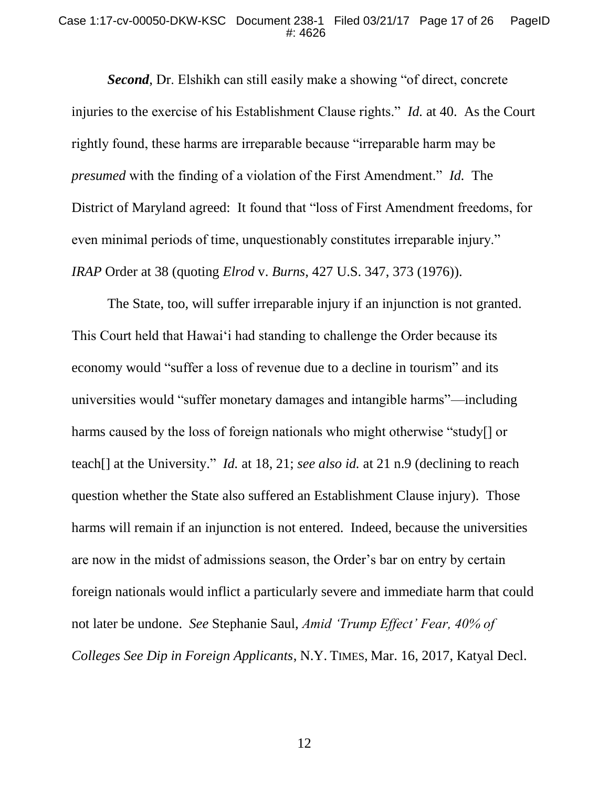#### Case 1:17-cv-00050-DKW-KSC Document 238-1 Filed 03/21/17 Page 17 of 26 PageID #: 4626

*Second*, Dr. Elshikh can still easily make a showing "of direct, concrete injuries to the exercise of his Establishment Clause rights." *Id.* at 40. As the Court rightly found, these harms are irreparable because "irreparable harm may be *presumed* with the finding of a violation of the First Amendment." *Id.* The District of Maryland agreed: It found that "loss of First Amendment freedoms, for even minimal periods of time, unquestionably constitutes irreparable injury." *IRAP* Order at 38 (quoting *Elrod* v. *Burns*, 427 U.S. 347, 373 (1976)).

The State, too, will suffer irreparable injury if an injunction is not granted. This Court held that Hawai'i had standing to challenge the Order because its economy would "suffer a loss of revenue due to a decline in tourism" and its universities would "suffer monetary damages and intangible harms"—including harms caused by the loss of foreign nationals who might otherwise "study[] or teach[] at the University." *Id.* at 18, 21; *see also id.* at 21 n.9 (declining to reach question whether the State also suffered an Establishment Clause injury). Those harms will remain if an injunction is not entered. Indeed, because the universities are now in the midst of admissions season, the Order's bar on entry by certain foreign nationals would inflict a particularly severe and immediate harm that could not later be undone. *See* Stephanie Saul, *Amid 'Trump Effect' Fear, 40% of Colleges See Dip in Foreign Applicants*, N.Y. TIMES, Mar. 16, 2017, Katyal Decl.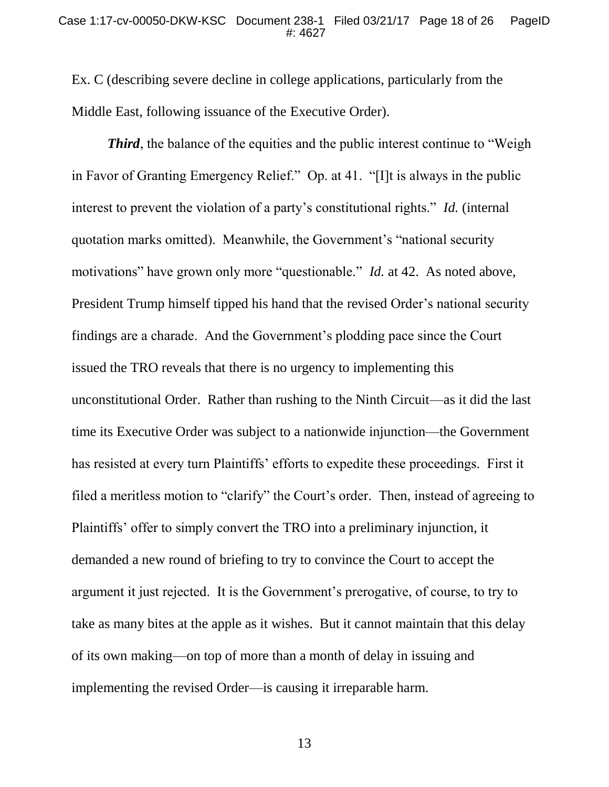Ex. C (describing severe decline in college applications, particularly from the Middle East, following issuance of the Executive Order).

*Third*, the balance of the equities and the public interest continue to "Weigh" in Favor of Granting Emergency Relief." Op. at 41. "[I]t is always in the public interest to prevent the violation of a party's constitutional rights." *Id.* (internal quotation marks omitted). Meanwhile, the Government's "national security motivations" have grown only more "questionable." *Id.* at 42. As noted above, President Trump himself tipped his hand that the revised Order's national security findings are a charade. And the Government's plodding pace since the Court issued the TRO reveals that there is no urgency to implementing this unconstitutional Order. Rather than rushing to the Ninth Circuit—as it did the last time its Executive Order was subject to a nationwide injunction—the Government has resisted at every turn Plaintiffs' efforts to expedite these proceedings. First it filed a meritless motion to "clarify" the Court's order. Then, instead of agreeing to Plaintiffs' offer to simply convert the TRO into a preliminary injunction, it demanded a new round of briefing to try to convince the Court to accept the argument it just rejected. It is the Government's prerogative, of course, to try to take as many bites at the apple as it wishes. But it cannot maintain that this delay of its own making—on top of more than a month of delay in issuing and implementing the revised Order—is causing it irreparable harm.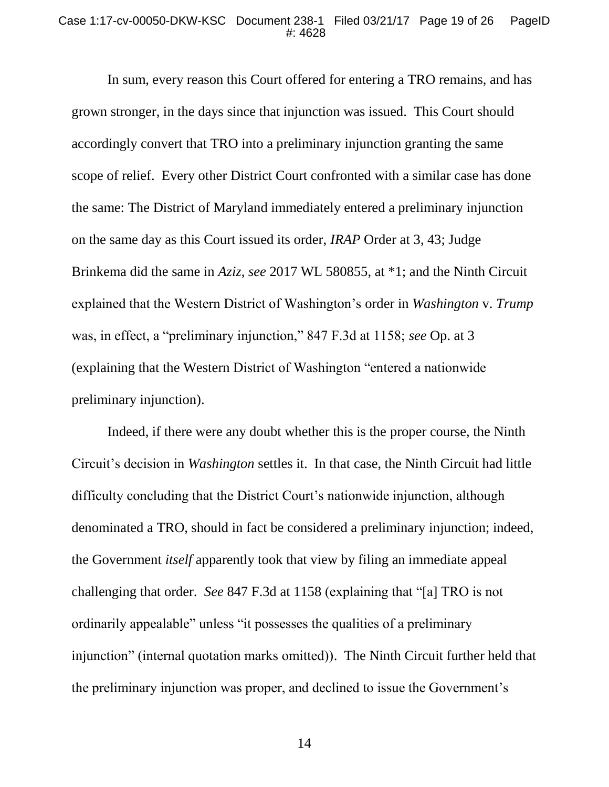In sum, every reason this Court offered for entering a TRO remains, and has grown stronger, in the days since that injunction was issued. This Court should accordingly convert that TRO into a preliminary injunction granting the same scope of relief. Every other District Court confronted with a similar case has done the same: The District of Maryland immediately entered a preliminary injunction on the same day as this Court issued its order, *IRAP* Order at 3, 43; Judge Brinkema did the same in *Aziz*, *see* 2017 WL 580855, at \*1; and the Ninth Circuit explained that the Western District of Washington's order in *Washington* v. *Trump* was, in effect, a "preliminary injunction," 847 F.3d at 1158; *see* Op. at 3 (explaining that the Western District of Washington "entered a nationwide preliminary injunction).

Indeed, if there were any doubt whether this is the proper course, the Ninth Circuit's decision in *Washington* settles it. In that case, the Ninth Circuit had little difficulty concluding that the District Court's nationwide injunction, although denominated a TRO, should in fact be considered a preliminary injunction; indeed, the Government *itself* apparently took that view by filing an immediate appeal challenging that order. *See* 847 F.3d at 1158 (explaining that "[a] TRO is not ordinarily appealable" unless "it possesses the qualities of a preliminary injunction" (internal quotation marks omitted)). The Ninth Circuit further held that the preliminary injunction was proper, and declined to issue the Government's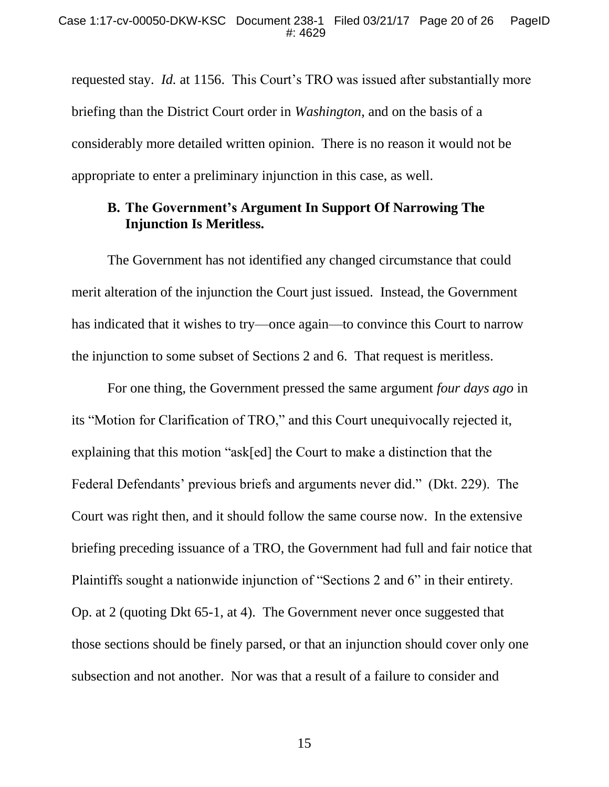requested stay. *Id.* at 1156.This Court's TRO was issued after substantially more briefing than the District Court order in *Washington*, and on the basis of a considerably more detailed written opinion. There is no reason it would not be appropriate to enter a preliminary injunction in this case, as well.

### **B. The Government's Argument In Support Of Narrowing The Injunction Is Meritless.**

The Government has not identified any changed circumstance that could merit alteration of the injunction the Court just issued. Instead, the Government has indicated that it wishes to try—once again—to convince this Court to narrow the injunction to some subset of Sections 2 and 6. That request is meritless.

For one thing, the Government pressed the same argument *four days ago* in its "Motion for Clarification of TRO," and this Court unequivocally rejected it, explaining that this motion "ask[ed] the Court to make a distinction that the Federal Defendants' previous briefs and arguments never did." (Dkt. 229). The Court was right then, and it should follow the same course now. In the extensive briefing preceding issuance of a TRO, the Government had full and fair notice that Plaintiffs sought a nationwide injunction of "Sections 2 and 6" in their entirety. Op. at 2 (quoting Dkt 65-1, at 4). The Government never once suggested that those sections should be finely parsed, or that an injunction should cover only one subsection and not another. Nor was that a result of a failure to consider and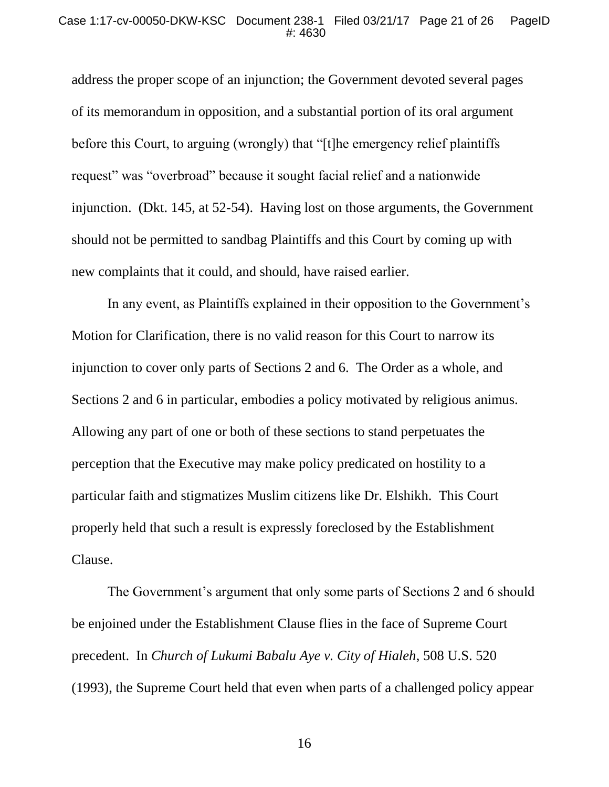address the proper scope of an injunction; the Government devoted several pages of its memorandum in opposition, and a substantial portion of its oral argument before this Court, to arguing (wrongly) that "[t]he emergency relief plaintiffs request" was "overbroad" because it sought facial relief and a nationwide injunction. (Dkt. 145, at 52-54). Having lost on those arguments, the Government should not be permitted to sandbag Plaintiffs and this Court by coming up with new complaints that it could, and should, have raised earlier.

In any event, as Plaintiffs explained in their opposition to the Government's Motion for Clarification, there is no valid reason for this Court to narrow its injunction to cover only parts of Sections 2 and 6. The Order as a whole, and Sections 2 and 6 in particular, embodies a policy motivated by religious animus. Allowing any part of one or both of these sections to stand perpetuates the perception that the Executive may make policy predicated on hostility to a particular faith and stigmatizes Muslim citizens like Dr. Elshikh. This Court properly held that such a result is expressly foreclosed by the Establishment Clause.

<span id="page-20-0"></span>The Government's argument that only some parts of Sections 2 and 6 should be enjoined under the Establishment Clause flies in the face of Supreme Court precedent. In *Church of Lukumi Babalu Aye v. City of Hialeh*, 508 U.S. 520 (1993), the Supreme Court held that even when parts of a challenged policy appear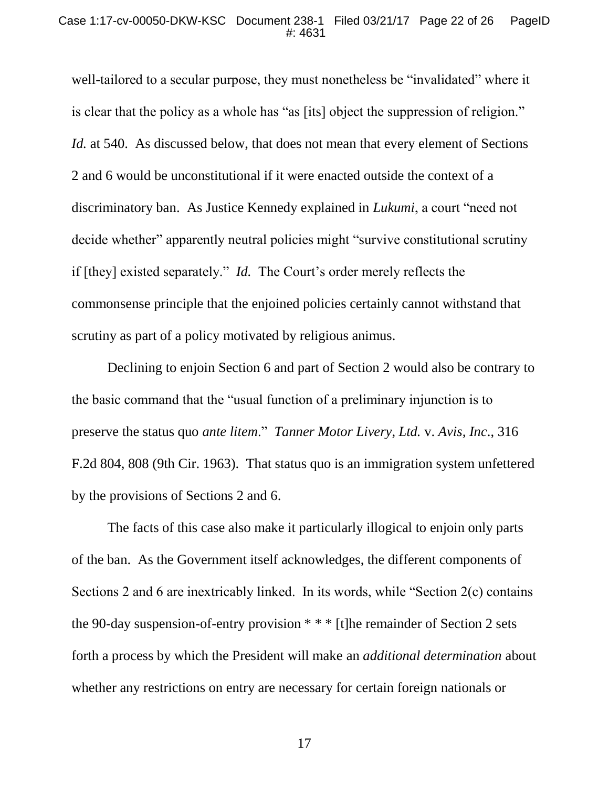well-tailored to a secular purpose, they must nonetheless be "invalidated" where it is clear that the policy as a whole has "as [its] object the suppression of religion." *Id.* at 540. As discussed below, that does not mean that every element of Sections 2 and 6 would be unconstitutional if it were enacted outside the context of a discriminatory ban. As Justice Kennedy explained in *Lukumi*, a court "need not decide whether" apparently neutral policies might "survive constitutional scrutiny if [they] existed separately." *Id.* The Court's order merely reflects the commonsense principle that the enjoined policies certainly cannot withstand that scrutiny as part of a policy motivated by religious animus.

<span id="page-21-1"></span><span id="page-21-0"></span>Declining to enjoin Section 6 and part of Section 2 would also be contrary to the basic command that the "usual function of a preliminary injunction is to preserve the status quo *ante litem*." *Tanner Motor Livery, Ltd.* v. *Avis, Inc*., 316 F.2d 804, 808 (9th Cir. 1963). That status quo is an immigration system unfettered by the provisions of Sections 2 and 6.

The facts of this case also make it particularly illogical to enjoin only parts of the ban. As the Government itself acknowledges, the different components of Sections 2 and 6 are inextricably linked. In its words, while "Section 2(c) contains the 90-day suspension-of-entry provision \* \* \* [t]he remainder of Section 2 sets forth a process by which the President will make an *additional determination* about whether any restrictions on entry are necessary for certain foreign nationals or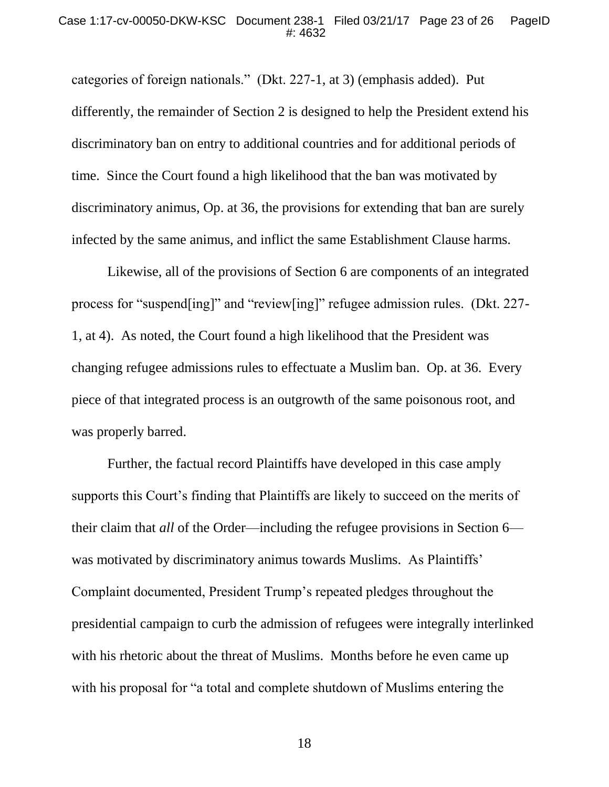categories of foreign nationals." (Dkt. 227-1, at 3) (emphasis added). Put differently, the remainder of Section 2 is designed to help the President extend his discriminatory ban on entry to additional countries and for additional periods of time. Since the Court found a high likelihood that the ban was motivated by discriminatory animus, Op. at 36, the provisions for extending that ban are surely infected by the same animus, and inflict the same Establishment Clause harms.

Likewise, all of the provisions of Section 6 are components of an integrated process for "suspend[ing]" and "review[ing]" refugee admission rules. (Dkt. 227- 1, at 4). As noted, the Court found a high likelihood that the President was changing refugee admissions rules to effectuate a Muslim ban. Op. at 36. Every piece of that integrated process is an outgrowth of the same poisonous root, and was properly barred.

Further, the factual record Plaintiffs have developed in this case amply supports this Court's finding that Plaintiffs are likely to succeed on the merits of their claim that *all* of the Order—including the refugee provisions in Section 6 was motivated by discriminatory animus towards Muslims. As Plaintiffs' Complaint documented, President Trump's repeated pledges throughout the presidential campaign to curb the admission of refugees were integrally interlinked with his rhetoric about the threat of Muslims. Months before he even came up with his proposal for "a total and complete shutdown of Muslims entering the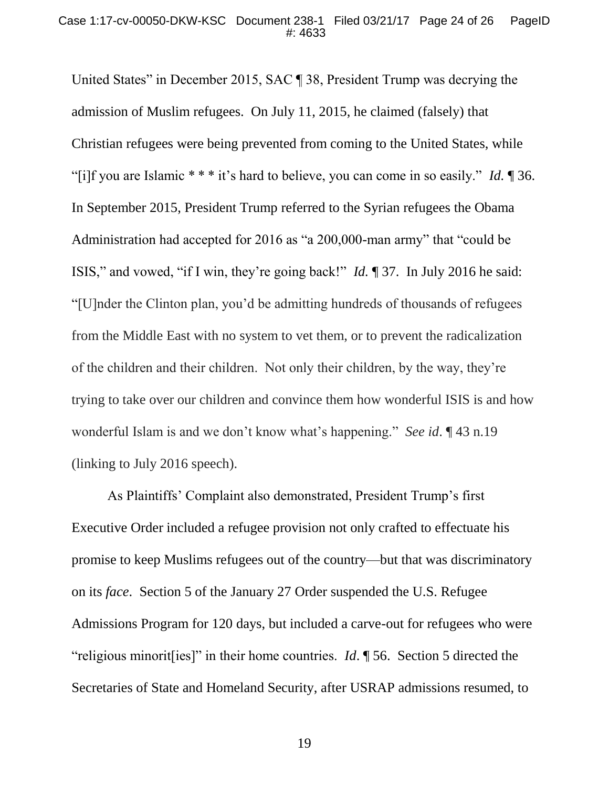United States" in December 2015, SAC ¶ 38, President Trump was decrying the admission of Muslim refugees. On July 11, 2015, he claimed (falsely) that Christian refugees were being prevented from coming to the United States, while "[i]f you are Islamic \* \* \* it's hard to believe, you can come in so easily." *Id.* ¶ 36. In September 2015, President Trump referred to the Syrian refugees the Obama Administration had accepted for 2016 as "a 200,000-man army" that "could be ISIS," and vowed, "if I win, they're going back!" *Id.* ¶ 37. In July 2016 he said: "[U]nder the Clinton plan, you'd be admitting hundreds of thousands of refugees from the Middle East with no system to vet them, or to prevent the radicalization of the children and their children. Not only their children, by the way, they're trying to take over our children and convince them how wonderful ISIS is and how wonderful Islam is and we don't know what's happening." *See id*. ¶ 43 n.19 (linking to July 2016 speech).

As Plaintiffs' Complaint also demonstrated, President Trump's first Executive Order included a refugee provision not only crafted to effectuate his promise to keep Muslims refugees out of the country—but that was discriminatory on its *face*. Section 5 of the January 27 Order suspended the U.S. Refugee Admissions Program for 120 days, but included a carve-out for refugees who were "religious minorit[ies]" in their home countries. *Id*. ¶ 56. Section 5 directed the Secretaries of State and Homeland Security, after USRAP admissions resumed, to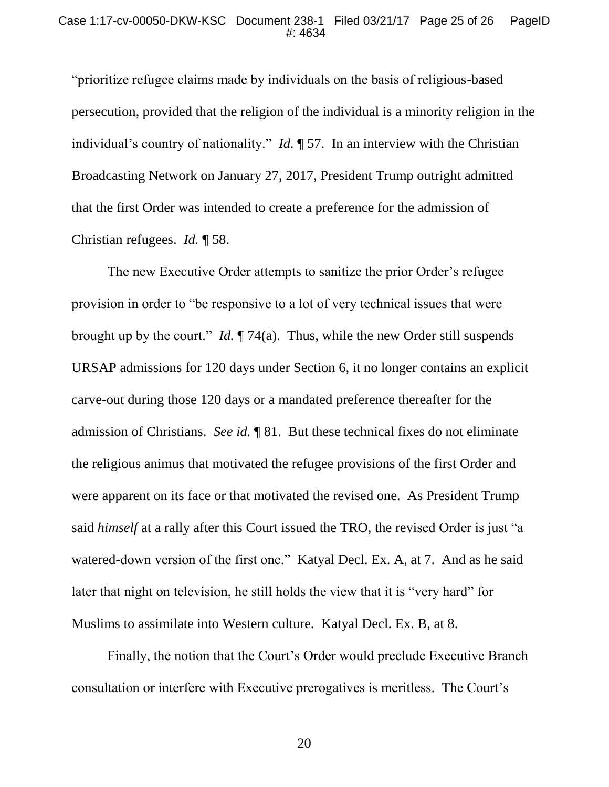"prioritize refugee claims made by individuals on the basis of religious-based persecution, provided that the religion of the individual is a minority religion in the individual's country of nationality." *Id.* ¶ 57. In an interview with the Christian Broadcasting Network on January 27, 2017, President Trump outright admitted that the first Order was intended to create a preference for the admission of Christian refugees. *Id.* ¶ 58.

The new Executive Order attempts to sanitize the prior Order's refugee provision in order to "be responsive to a lot of very technical issues that were brought up by the court." *Id.* ¶ 74(a). Thus, while the new Order still suspends URSAP admissions for 120 days under Section 6, it no longer contains an explicit carve-out during those 120 days or a mandated preference thereafter for the admission of Christians. *See id.* ¶ 81. But these technical fixes do not eliminate the religious animus that motivated the refugee provisions of the first Order and were apparent on its face or that motivated the revised one. As President Trump said *himself* at a rally after this Court issued the TRO, the revised Order is just "a watered-down version of the first one." Katyal Decl. Ex. A, at 7. And as he said later that night on television, he still holds the view that it is "very hard" for Muslims to assimilate into Western culture. Katyal Decl. Ex. B, at 8.

Finally, the notion that the Court's Order would preclude Executive Branch consultation or interfere with Executive prerogatives is meritless. The Court's